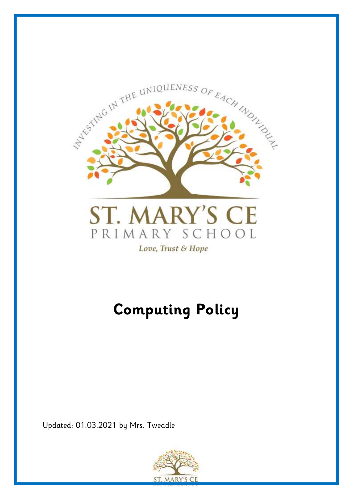

# **Computing Policy**

Updated: 01.03.2021 by Mrs. Tweddle

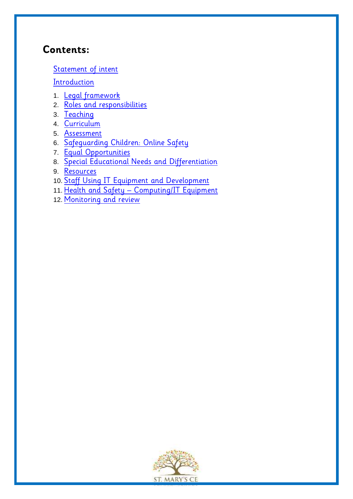# **Contents:**

### [Statement of intent](#page-2-0)

[Introduction](#page-2-1)

- 1. [Legal framework](#page-2-1)
- 2. [Roles and responsibilities](#page-3-0)
- 3. [Teaching](#page-4-0)
- 4. [Curriculum](#page-5-0)
- 5. [Assessment](#page-8-0)
- 6. [Safeguarding Children: Online Safety](#page-8-1)
- 7. [Equal Opportunities](#page-9-0)
- 8. [Special Educational Needs and Differentiation](#page-9-1)
- 9. [Resources](#page-11-0)
- 10. Staff [Using IT Equipment](#page-11-1) and Development
- 11. Health and Safety [Computing/IT Equipment](#page-12-0)
- 12. [Monitoring and review](#page-13-0)

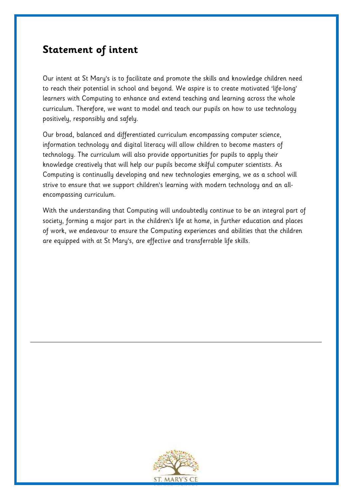# <span id="page-2-0"></span>**Statement of intent**

Our intent at St Mary's is to facilitate and promote the skills and knowledge children need to reach their potential in school and beyond. We aspire is to create motivated 'life-long' learners with Computing to enhance and extend teaching and learning across the whole curriculum. Therefore, we want to model and teach our pupils on how to use technology positively, responsibly and safely.

Our broad, balanced and differentiated curriculum encompassing computer science, information technology and digital literacy will allow children to become masters of technology. The curriculum will also provide opportunities for pupils to apply their knowledge creatively that will help our pupils become skilful computer scientists. As Computing is continually developing and new technologies emerging, we as a school will strive to ensure that we support children's learning with modern technology and an allencompassing curriculum.

With the understanding that Computing will undoubtedly continue to be an integral part of society, forming a major part in the children's life at home, in further education and places of work, we endeavour to ensure the Computing experiences and abilities that the children are equipped with at St Mary's, are effective and transferrable life skills.

<span id="page-2-1"></span>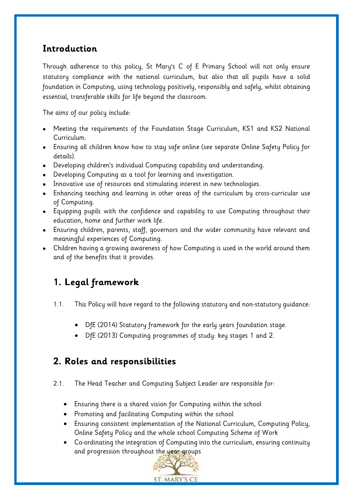### **Introduction**

Through adherence to this policy, St Mary's C of E Primary School will not only ensure statutory compliance with the national curriculum, but also that all pupils have a solid foundation in Computing, using technology positively, responsibly and safely, whilst obtaining essential, transferable skills for life beyond the classroom.

The aims of our policy include:

- <span id="page-3-0"></span> Meeting the requirements of the Foundation Stage Curriculum, KS1 and KS2 National Curriculum.
- Ensuring all children know how to stay safe online (see separate Online Safety Policy for details).
- Developing children's individual Computing capability and understanding.
- Developing Computing as a tool for learning and investigation.
- Innovative use of resources and stimulating interest in new technologies.
- Enhancing teaching and learning in other areas of the curriculum by cross-curricular use of Computing.
- Equipping pupils with the confidence and capability to use Computing throughout their education, home and further work life.
- Ensuring children, parents, staff, governors and the wider community have relevant and meaningful experiences of Computing.
- Children having a growing awareness of how Computing is used in the world around them and of the benefits that it provides.

# **1. Legal framework**

- 1.1. This Policy will have regard to the following statutory and non-statutory guidance:
	- DfE (2014) Statutory framework for the early years foundation stage.
	- DfE (2013) Computing programmes of study: key stages 1 and 2.

### **2. Roles and responsibilities**

- 2.1. The Head Teacher and Computing Subject Leader are responsible for:
	- Ensuring there is a shared vision for Computing within the school
	- Promoting and facilitating Computing within the school
	- Ensuring consistent implementation of the National Curriculum, Computing Policy, Online Safety Policy and the whole school Computing Scheme of Work
	- Co-ordinating the integration of Computing into the curriculum, ensuring continuity and progression throughout the year groups

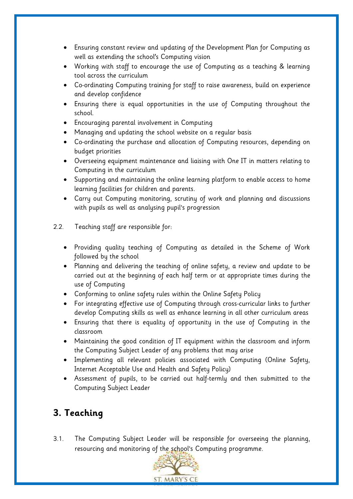- Ensuring constant review and updating of the Development Plan for Computing as well as extending the school's Computing vision
- Working with staff to encourage the use of Computing as a teaching & learning tool across the curriculum
- Co-ordinating Computing training for staff to raise awareness, build on experience and develop confidence
- Ensuring there is equal opportunities in the use of Computing throughout the school.
- Encouraging parental involvement in Computing
- Managing and updating the school website on a regular basis
- Co-ordinating the purchase and allocation of Computing resources, depending on budget priorities
- Overseeing equipment maintenance and liaising with One IT in matters relating to Computing in the curriculum
- Supporting and maintaining the online learning platform to enable access to home learning facilities for children and parents.
- <span id="page-4-0"></span> Carry out Computing monitoring, scrutiny of work and planning and discussions with pupils as well as analysing pupil's progression
- 2.2. Teaching staff are responsible for:
	- Providing quality teaching of Computing as detailed in the Scheme of Work followed by the school
	- Planning and delivering the teaching of online safety, a review and update to be carried out at the beginning of each half term or at appropriate times during the use of Computing
	- Conforming to online safety rules within the Online Safety Policy
	- For integrating effective use of Computing through cross-curricular links to further develop Computing skills as well as enhance learning in all other curriculum areas
	- Ensuring that there is equality of opportunity in the use of Computing in the classroom
	- Maintaining the good condition of IT equipment within the classroom and inform the Computing Subject Leader of any problems that may arise
	- Implementing all relevant policies associated with Computing (Online Safety, Internet Acceptable Use and Health and Safety Policy)
	- Assessment of pupils, to be carried out half-termly and then submitted to the Computing Subject Leader

# **3. Teaching**

3.1. The Computing Subject Leader will be responsible for overseeing the planning, resourcing and monitoring of the school's Computing programme.

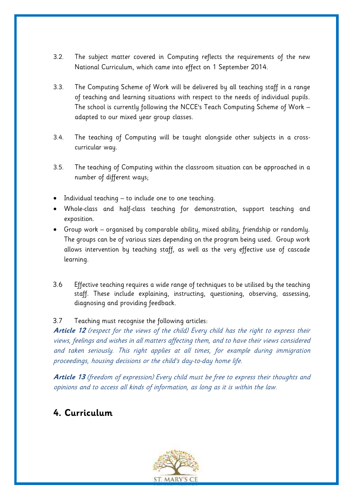- 3.2. The subject matter covered in Computing reflects the requirements of the new National Curriculum, which came into effect on 1 September 2014.
- 3.3. The Computing Scheme of Work will be delivered by all teaching staff in a range of teaching and learning situations with respect to the needs of individual pupils. The school is currently following the NCCE's Teach Computing Scheme of Work – adapted to our mixed year group classes.
- 3.4. The teaching of Computing will be taught alongside other subjects in a crosscurricular way.
- 3.5. The teaching of Computing within the classroom situation can be approached in a number of different ways;
- Individual teaching to include one to one teaching.
- Whole-class and half-class teaching for demonstration, support teaching and exposition.
- Group work organised by comparable ability, mixed ability, friendship or randomly. The groups can be of various sizes depending on the program being used. Group work allows intervention by teaching staff, as well as the very effective use of cascade learning.
- 3.6 Effective teaching requires a wide range of techniques to be utilised by the teaching staff. These include explaining, instructing, questioning, observing, assessing, diagnosing and providing feedback.

#### 3.7 Teaching must recognise the following articles:

**Article 12** (respect for the views of the child) Every child has the right to express their views, feelings and wishes in all matters affecting them, and to have their views considered and taken seriously. This right applies at all times, for example during immigration proceedings, housing decisions or the child's day-to-day home life.

**Article 13** (freedom of expression) Every child must be free to express their thoughts and opinions and to access all kinds of information, as long as it is within the law.

### <span id="page-5-0"></span>**4. Curriculum**

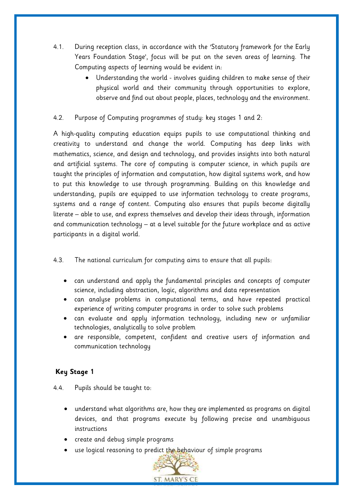- 4.1. During reception class, in accordance with the 'Statutory framework for the Early Years Foundation Stage', focus will be put on the seven areas of learning. The Computing aspects of learning would be evident in:
	- Understanding the world involves guiding children to make sense of their physical world and their community through opportunities to explore, observe and find out about people, places, technology and the environment.
- 4.2. Purpose of Computing programmes of study: key stages 1 and 2:

A high-quality computing education equips pupils to use computational thinking and creativity to understand and change the world. Computing has deep links with mathematics, science, and design and technology, and provides insights into both natural and artificial systems. The core of computing is computer science, in which pupils are taught the principles of information and computation, how digital systems work, and how to put this knowledge to use through programming. Building on this knowledge and understanding, pupils are equipped to use information technology to create programs, systems and a range of content. Computing also ensures that pupils become digitally literate – able to use, and express themselves and develop their ideas through, information and communication technology – at a level suitable for the future workplace and as active participants in a digital world.

- 4.3. The national curriculum for computing aims to ensure that all pupils:
	- can understand and apply the fundamental principles and concepts of computer science, including abstraction, logic, algorithms and data representation
	- can analyse problems in computational terms, and have repeated practical experience of writing computer programs in order to solve such problems
	- can evaluate and apply information technology, including new or unfamiliar technologies, analytically to solve problem
	- are responsible, competent, confident and creative users of information and communication technology

#### **Key Stage 1**

- 4.4. Pupils should be taught to:
	- understand what algorithms are, how they are implemented as programs on digital devices, and that programs execute by following precise and unambiguous instructions
	- create and debug simple programs
	- use logical reasoning to predict the behaviour of simple programs

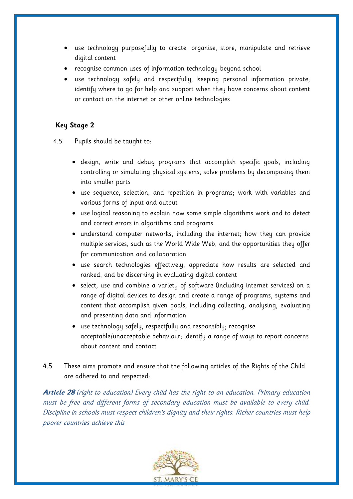- use technology purposefully to create, organise, store, manipulate and retrieve digital content
- recognise common uses of information technology beyond school
- use technology safely and respectfully, keeping personal information private; identify where to go for help and support when they have concerns about content or contact on the internet or other online technologies

#### **Key Stage 2**

- 4.5. Pupils should be taught to:
	- design, write and debug programs that accomplish specific goals, including controlling or simulating physical systems; solve problems by decomposing them into smaller parts
	- use sequence, selection, and repetition in programs; work with variables and various forms of input and output
	- use logical reasoning to explain how some simple algorithms work and to detect and correct errors in algorithms and programs
	- understand computer networks, including the internet; how they can provide multiple services, such as the World Wide Web, and the opportunities they offer for communication and collaboration
	- use search technologies effectively, appreciate how results are selected and ranked, and be discerning in evaluating digital content
	- select, use and combine a variety of software (including internet services) on a range of digital devices to design and create a range of programs, systems and content that accomplish given goals, including collecting, analysing, evaluating and presenting data and information
	- use technology safely, respectfully and responsibly; recognise acceptable/unacceptable behaviour; identify a range of ways to report concerns about content and contact
- 4.5 These aims promote and ensure that the following articles of the Rights of the Child are adhered to and respected:

**Article 28** (right to education) Every child has the right to an education. Primary education must be free and different forms of secondary education must be available to every child. Discipline in schools must respect children's dignity and their rights. Richer countries must help poorer countries achieve this

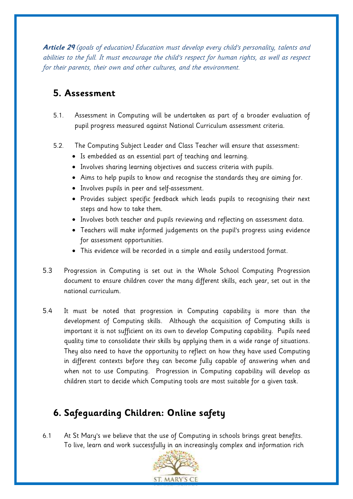**Article 29** (goals of education) Education must develop every child's personality, talents and abilities to the full. It must encourage the child's respect for human rights, as well as respect for their parents, their own and other cultures, and the environment.

## <span id="page-8-0"></span>**5. Assessment**

- 5.1. Assessment in Computing will be undertaken as part of a broader evaluation of pupil progress measured against National Curriculum assessment criteria.
- 5.2. The Computing Subject Leader and Class Teacher will ensure that assessment:
	- Is embedded as an essential part of teaching and learning.
	- Involves sharing learning objectives and success criteria with pupils.
	- Aims to help pupils to know and recognise the standards they are aiming for.
	- Involves pupils in peer and self-assessment.
	- Provides subject specific feedback which leads pupils to recognising their next steps and how to take them.
	- Involves both teacher and pupils reviewing and reflecting on assessment data.
	- Teachers will make informed judgements on the pupil's progress using evidence for assessment opportunities.
	- This evidence will be recorded in a simple and easily understood format.
- 5.3 Progression in Computing is set out in the Whole School Computing Progression document to ensure children cover the many different skills, each year, set out in the national curriculum.
- 5.4 It must be noted that progression in Computing capability is more than the development of Computing skills. Although the acquisition of Computing skills is important it is not sufficient on its own to develop Computing capability. Pupils need quality time to consolidate their skills by applying them in a wide range of situations. They also need to have the opportunity to reflect on how they have used Computing in different contexts before they can become fully capable of answering when and when not to use Computing. Progression in Computing capability will develop as children start to decide which Computing tools are most suitable for a given task.

# <span id="page-8-1"></span>**6. Safeguarding Children: Online safety**

6.1 At St Mary's we believe that the use of Computing in schools brings great benefits. To live, learn and work successfully in an increasingly complex and information rich

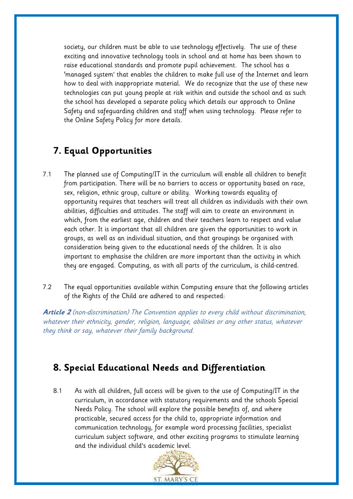society, our children must be able to use technology effectively. The use of these exciting and innovative technology tools in school and at home has been shown to raise educational standards and promote pupil achievement. The school has a 'managed system' that enables the children to make full use of the Internet and learn how to deal with inappropriate material. We do recognize that the use of these new technologies can put young people at risk within and outside the school and as such the school has developed a separate policy which details our approach to Online Safety and safeguarding children and staff when using technology. Please refer to the Online Safety Policy for more details.

### <span id="page-9-0"></span>**7. Equal Opportunities**

- 7.1 The planned use of Computing/IT in the curriculum will enable all children to benefit from participation. There will be no barriers to access or opportunity based on race, sex, religion, ethnic group, culture or ability. Working towards equality of opportunity requires that teachers will treat all children as individuals with their own abilities, difficulties and attitudes. The staff will aim to create an environment in which, from the earliest age, children and their teachers learn to respect and value each other. It is important that all children are given the opportunities to work in groups, as well as an individual situation, and that groupings be organised with consideration being given to the educational needs of the children. It is also important to emphasise the children are more important than the activity in which they are engaged. Computing, as with all parts of the curriculum, is child-centred.
- 7.2 The equal opportunities available within Computing ensure that the following articles of the Rights of the Child are adhered to and respected:

**Article 2** (non-discrimination) The Convention applies to every child without discrimination, whatever their ethnicity, gender, religion, language, abilities or any other status, whatever they think or say, whatever their family background.

### <span id="page-9-1"></span>**8. Special Educational Needs and Differentiation**

8.1 As with all children, full access will be given to the use of Computing/IT in the curriculum, in accordance with statutory requirements and the schools Special Needs Policy. The school will explore the possible benefits of, and where practicable, secured access for the child to, appropriate information and communication technology, for example word processing facilities, specialist curriculum subject software, and other exciting programs to stimulate learning and the individual child's academic level.

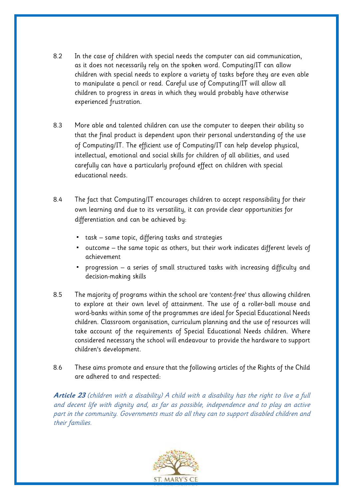- 8.2 In the case of children with special needs the computer can aid communication, as it does not necessarily rely on the spoken word. Computing/IT can allow children with special needs to explore a variety of tasks before they are even able to manipulate a pencil or read. Careful use of Computing/IT will allow all children to progress in areas in which they would probably have otherwise experienced frustration.
- 8.3 More able and talented children can use the computer to deepen their ability so that the final product is dependent upon their personal understanding of the use of Computing/IT. The efficient use of Computing/IT can help develop physical, intellectual, emotional and social skills for children of all abilities, and used carefully can have a particularly profound effect on children with special educational needs.
- 8.4 The fact that Computing/IT encourages children to accept responsibility for their own learning and due to its versatility, it can provide clear opportunities for differentiation and can be achieved by:
	- task same topic, differing tasks and strategies
	- outcome the same topic as others, but their work indicates different levels of achievement
	- progression a series of small structured tasks with increasing difficulty and decision-making skills
- 8.5 The majority of programs within the school are 'content-free' thus allowing children to explore at their own level of attainment. The use of a roller-ball mouse and word-banks within some of the programmes are ideal for Special Educational Needs children. Classroom organisation, curriculum planning and the use of resources will take account of the requirements of Special Educational Needs children. Where considered necessary the school will endeavour to provide the hardware to support children's development.
- 8.6 These aims promote and ensure that the following articles of the Rights of the Child are adhered to and respected:

**Article 23** (children with a disability) A child with a disability has the right to live a full and decent life with dignity and, as far as possible, independence and to play an active part in the community. Governments must do all they can to support disabled children and their families.

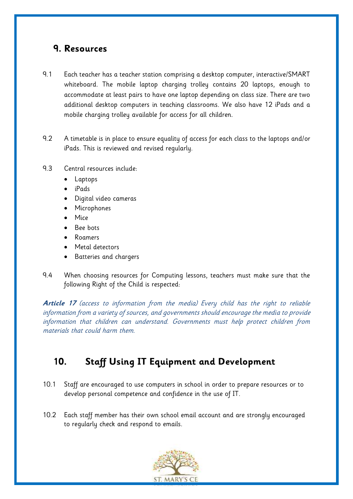### <span id="page-11-0"></span>**9. Resources**

- 9.1 Each teacher has a teacher station comprising a desktop computer, interactive/SMART whiteboard. The mobile laptop charging trolley contains 20 laptops, enough to accommodate at least pairs to have one laptop depending on class size. There are two additional desktop computers in teaching classrooms. We also have 12 iPads and a mobile charging trolley available for access for all children.
- 9.2 A timetable is in place to ensure equality of access for each class to the laptops and/or iPads. This is reviewed and revised regularly.
- 9.3 Central resources include:
	- Laptops
	- iPads
	- Digital video cameras
	- Microphones
	- Mice
	- Bee bots
	- Roamers
	- Metal detectors
	- Batteries and chargers
- 9.4 When choosing resources for Computing lessons, teachers must make sure that the following Right of the Child is respected:

**Article 17** (access to information from the media) Every child has the right to reliable information from a variety of sources, and governments should encourage the media to provide information that children can understand. Governments must help protect children from materials that could harm them.

# <span id="page-11-1"></span>**10. Staff Using IT Equipment and Development**

- 10.1 Staff are encouraged to use computers in school in order to prepare resources or to develop personal competence and confidence in the use of IT.
- 10.2 Each staff member has their own school email account and are strongly encouraged to regularly check and respond to emails.

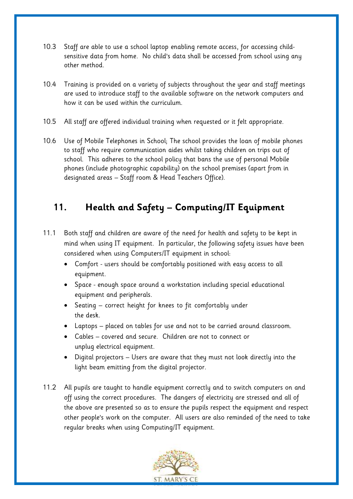- 10.3 Staff are able to use a school laptop enabling remote access, for accessing childsensitive data from home. No child's data shall be accessed from school using any other method.
- 10.4 Training is provided on a variety of subjects throughout the year and staff meetings are used to introduce staff to the available software on the network computers and how it can be used within the curriculum.
- 10.5 All staff are offered individual training when requested or it felt appropriate.
- 10.6 Use of Mobile Telephones in School; The school provides the loan of mobile phones to staff who require communication aides whilst taking children on trips out of school. This adheres to the school policy that bans the use of personal Mobile phones (include photographic capability) on the school premises (apart from in designated areas – Staff room & Head Teachers Office).

# <span id="page-12-0"></span>**11. Health and Safety – Computing/IT Equipment**

- 11.1 Both staff and children are aware of the need for health and safety to be kept in mind when using IT equipment. In particular, the following safety issues have been considered when using Computers/IT equipment in school:
	- Comfort users should be comfortably positioned with easy access to all equipment.
	- Space enough space around a workstation including special educational equipment and peripherals.
	- Seating correct height for knees to fit comfortably under the desk.
	- Laptops placed on tables for use and not to be carried around classroom.
	- Cables covered and secure. Children are not to connect or unplug electrical equipment.
	- Digital projectors Users are aware that they must not look directly into the light beam emitting from the digital projector.
- 11.2 All pupils are taught to handle equipment correctly and to switch computers on and off using the correct procedures. The dangers of electricity are stressed and all of the above are presented so as to ensure the pupils respect the equipment and respect other people's work on the computer. All users are also reminded of the need to take regular breaks when using Computing/IT equipment.